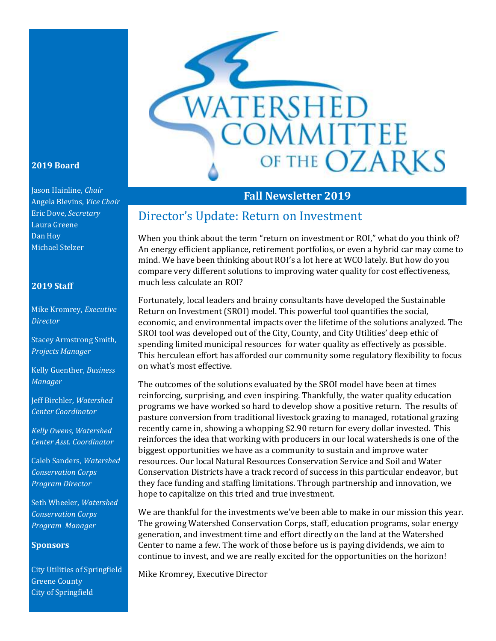

#### **2019 Board**

Jason Hainline, *Chair* Angela Blevins, *Vice Chair* Eric Dove, *Secretary* Laura Greene Dan Hoy Michael Stelzer

#### **2019 Staff**

Mike Kromrey, *Executive Director*

Stacey Armstrong Smith, *Projects Manager*

Kelly Guenther, *Business Manager*

Jeff Birchler*, Watershed Center Coordinator*

*Kelly Owens, Watershed Center Asst. Coordinator*

Caleb Sanders, *Watershed Conservation Corps Program Director*

Seth Wheeler, *Watershed Conservation Corps Program Manager*

#### **Sponsors**

City Utilities of Springfield Greene County City of Springfield

### **Fall Newsletter 2019**

### Director's Update: Return on Investment

When you think about the term "return on investment or ROI," what do you think of? An energy efficient appliance, retirement portfolios, or even a hybrid car may come to mind. We have been thinking about ROI's a lot here at WCO lately. But how do you compare very different solutions to improving water quality for cost effectiveness, much less calculate an ROI?

Fortunately, local leaders and brainy consultants have developed the Sustainable Return on Investment (SROI) model. This powerful tool quantifies the social, economic, and environmental impacts over the lifetime of the solutions analyzed. The SROI tool was developed out of the City, County, and City Utilities' deep ethic of spending limited municipal resources for water quality as effectively as possible. This herculean effort has afforded our community some regulatory flexibility to focus on what's most effective.

The outcomes of the solutions evaluated by the SROI model have been at times reinforcing, surprising, and even inspiring. Thankfully, the water quality education programs we have worked so hard to develop show a positive return. The results of pasture conversion from traditional livestock grazing to managed, rotational grazing recently came in, showing a whopping \$2.90 return for every dollar invested. This reinforces the idea that working with producers in our local watersheds is one of the biggest opportunities we have as a community to sustain and improve water resources. Our local Natural Resources Conservation Service and Soil and Water Conservation Districts have a track record of success in this particular endeavor, but they face funding and staffing limitations. Through partnership and innovation, we hope to capitalize on this tried and true investment.

We are thankful for the investments we've been able to make in our mission this year. The growing Watershed Conservation Corps, staff, education programs, solar energy generation, and investment time and effort directly on the land at the Watershed Center to name a few. The work of those before us is paying dividends, we aim to continue to invest, and we are really excited for the opportunities on the horizon!

Mike Kromrey, Executive Director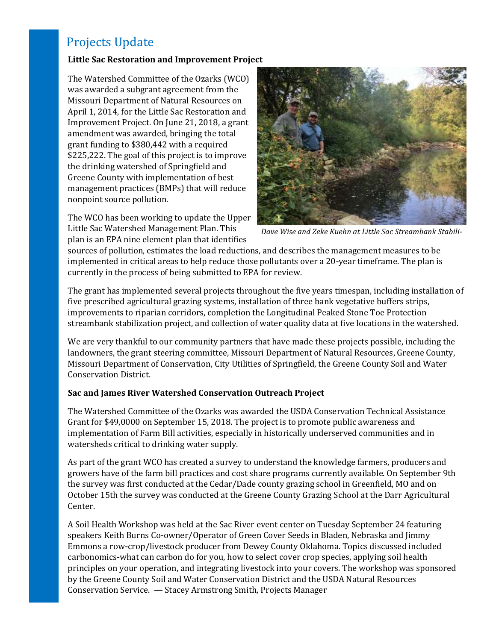## Projects Update

#### **Little Sac Restoration and Improvement Project**

The Watershed Committee of the Ozarks (WCO) was awarded a subgrant agreement from the Missouri Department of Natural Resources on April 1, 2014, for the Little Sac Restoration and Improvement Project. On June 21, 2018, a grant amendment was awarded, bringing the total grant funding to \$380,442 with a required \$225,222. The goal of this project is to improve the drinking watershed of Springfield and Greene County with implementation of best management practices (BMPs) that will reduce nonpoint source pollution.

The WCO has been working to update the Upper Little Sac Watershed Management Plan. This plan is an EPA nine element plan that identifies



*Dave Wise and Zeke Kuehn at Little Sac Streambank Stabili-*

sources of pollution, estimates the load reductions, and describes the management measures to be implemented in critical areas to help reduce those pollutants over a 20-year timeframe. The plan is currently in the process of being submitted to EPA for review.

The grant has implemented several projects throughout the five years timespan, including installation of five prescribed agricultural grazing systems, installation of three bank vegetative buffers strips, improvements to riparian corridors, completion the Longitudinal Peaked Stone Toe Protection streambank stabilization project, and collection of water quality data at five locations in the watershed.

We are very thankful to our community partners that have made these projects possible, including the landowners, the grant steering committee, Missouri Department of Natural Resources, Greene County, Missouri Department of Conservation, City Utilities of Springfield, the Greene County Soil and Water Conservation District.

#### **Sac and James River Watershed Conservation Outreach Project**

The Watershed Committee of the Ozarks was awarded the USDA Conservation Technical Assistance Grant for \$49,0000 on September 15, 2018. The project is to promote public awareness and implementation of Farm Bill activities, especially in historically underserved communities and in watersheds critical to drinking water supply.

As part of the grant WCO has created a survey to understand the knowledge farmers, producers and growers have of the farm bill practices and cost share programs currently available. On September 9th the survey was first conducted at the Cedar/Dade county grazing school in Greenfield, MO and on October 15th the survey was conducted at the Greene County Grazing School at the Darr Agricultural Center.

A Soil Health Workshop was held at the Sac River event center on Tuesday September 24 featuring speakers Keith Burns Co-owner/Operator of Green Cover Seeds in Bladen, Nebraska and Jimmy Emmons a row-crop/livestock producer from Dewey County Oklahoma. Topics discussed included carbonomics-what can carbon do for you, how to select cover crop species, applying soil health principles on your operation, and integrating livestock into your covers. The workshop was sponsored by the Greene County Soil and Water Conservation District and the USDA Natural Resources Conservation Service. — Stacey Armstrong Smith, Projects Manager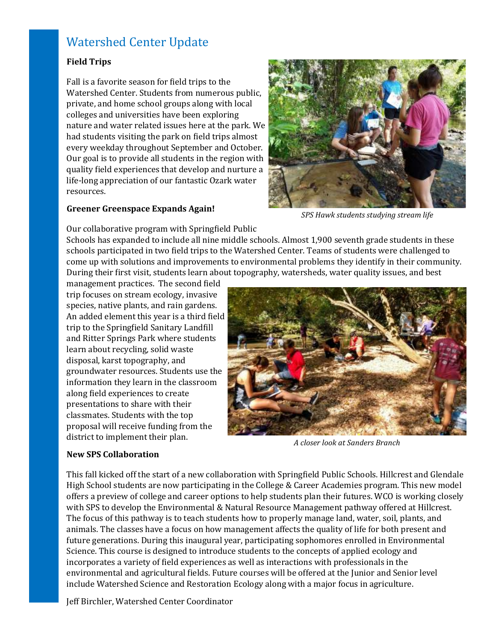### Watershed Center Update

#### **Field Trips**

Fall is a favorite season for field trips to the Watershed Center. Students from numerous public, private, and home school groups along with local colleges and universities have been exploring nature and water related issues here at the park. We had students visiting the park on field trips almost every weekday throughout September and October. Our goal is to provide all students in the region with quality field experiences that develop and nurture a life-long appreciation of our fantastic Ozark water resources.

#### **Greener Greenspace Expands Again!**



*SPS Hawk students studying stream life*

Our collaborative program with Springfield Public

Schools has expanded to include all nine middle schools. Almost 1,900 seventh grade students in these schools participated in two field trips to the Watershed Center. Teams of students were challenged to come up with solutions and improvements to environmental problems they identify in their community. During their first visit, students learn about topography, watersheds, water quality issues, and best

management practices. The second field trip focuses on stream ecology, invasive species, native plants, and rain gardens. An added element this year is a third field trip to the Springfield Sanitary Landfill and Ritter Springs Park where students learn about recycling, solid waste disposal, karst topography, and groundwater resources. Students use the information they learn in the classroom along field experiences to create presentations to share with their classmates. Students with the top proposal will receive funding from the district to implement their plan.



*A closer look at Sanders Branch*

#### **New SPS Collaboration**

This fall kicked off the start of a new collaboration with Springfield Public Schools. Hillcrest and Glendale High School students are now participating in the College & Career Academies program. This new model offers a preview of college and career options to help students plan their futures. WCO is working closely with SPS to develop the Environmental & Natural Resource Management pathway offered at Hillcrest. The focus of this pathway is to teach students how to properly manage land, water, soil, plants, and animals. The classes have a focus on how management affects the quality of life for both present and future generations. During this inaugural year, participating sophomores enrolled in Environmental Science. This course is designed to introduce students to the concepts of applied ecology and incorporates a variety of field experiences as well as interactions with professionals in the environmental and agricultural fields. Future courses will be offered at the Junior and Senior level include Watershed Science and Restoration Ecology along with a major focus in agriculture.

Jeff Birchler, Watershed Center Coordinator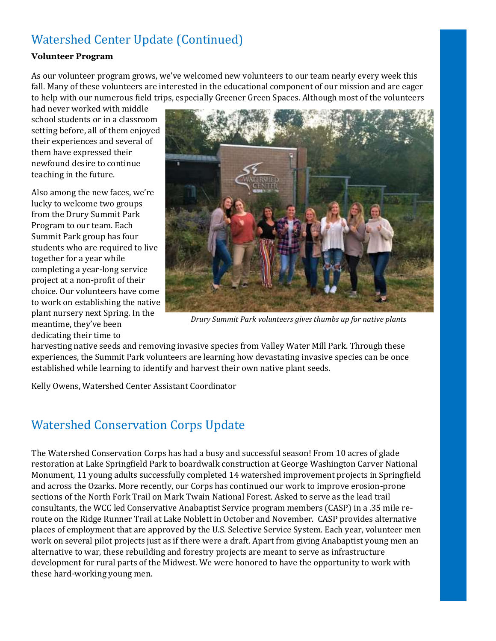# Watershed Center Update (Continued)

#### **Volunteer Program**

As our volunteer program grows, we've welcomed new volunteers to our team nearly every week this fall. Many of these volunteers are interested in the educational component of our mission and are eager to help with our numerous field trips, especially Greener Green Spaces. Although most of the volunteers

had never worked with middle school students or in a classroom setting before, all of them enjoyed their experiences and several of them have expressed their newfound desire to continue teaching in the future.

Also among the new faces, we're lucky to welcome two groups from the Drury Summit Park Program to our team. Each Summit Park group has four students who are required to live together for a year while completing a year-long service project at a non-profit of their choice. Our volunteers have come to work on establishing the native plant nursery next Spring. In the meantime, they've been dedicating their time to



*Drury Summit Park volunteers gives thumbs up for native plants*

harvesting native seeds and removing invasive species from Valley Water Mill Park. Through these experiences, the Summit Park volunteers are learning how devastating invasive species can be once established while learning to identify and harvest their own native plant seeds.

Kelly Owens, Watershed Center Assistant Coordinator

## Watershed Conservation Corps Update

The Watershed Conservation Corps has had a busy and successful season! From 10 acres of glade restoration at Lake Springfield Park to boardwalk construction at George Washington Carver National Monument, 11 young adults successfully completed 14 watershed improvement projects in Springfield and across the Ozarks. More recently, our Corps has continued our work to improve erosion-prone sections of the North Fork Trail on Mark Twain National Forest. Asked to serve as the lead trail consultants, the WCC led Conservative Anabaptist Service program members (CASP) in a .35 mile reroute on the Ridge Runner Trail at Lake Noblett in October and November. CASP provides alternative places of employment that are approved by the U.S. Selective Service System. Each year, volunteer men work on several pilot projects just as if there were a draft. Apart from giving Anabaptist young men an alternative to war, these rebuilding and forestry projects are meant to serve as infrastructure development for rural parts of the Midwest. We were honored to have the opportunity to work with these hard-working young men.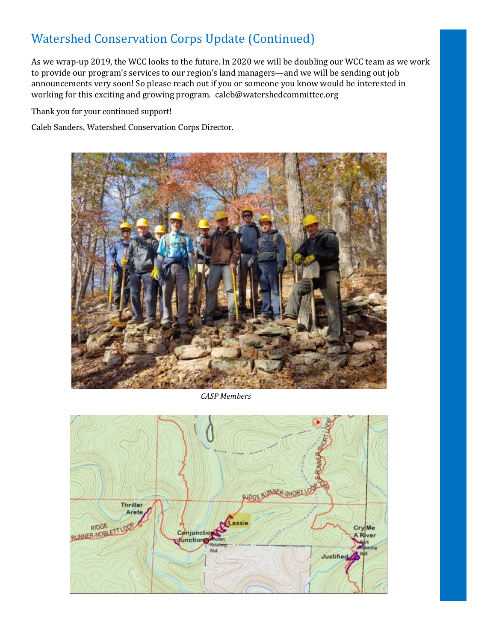# Watershed Conservation Corps Update (Continued)

As we wrap-up 2019, the WCC looks to the future. In 2020 we will be doubling our WCC team as we work to provide our program's services to our region's land managers—and we will be sending out job announcements very soon! So please reach out if you or someone you know would be interested in working for this exciting and growing program. caleb@watershedcommittee.org

Thank you for your continued support!

Caleb Sanders, Watershed Conservation Corps Director.



*CASP Members*